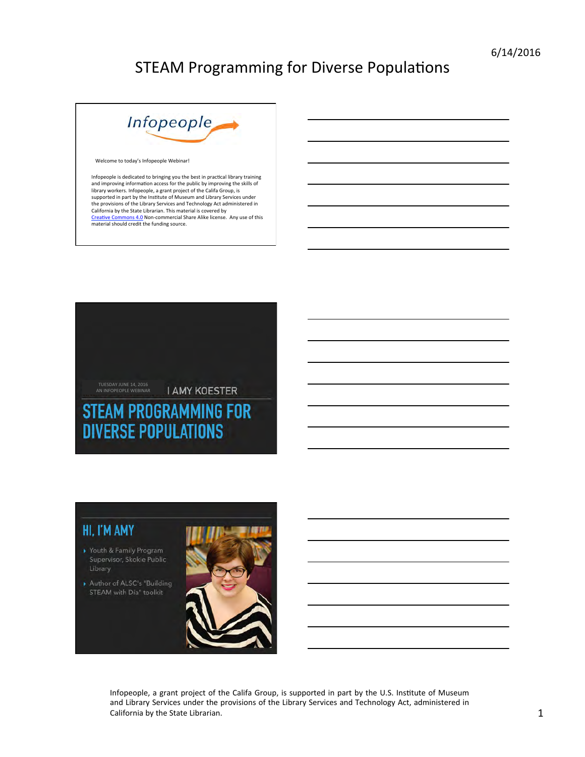

Welcome to today's Infopeople Webinar!

Infopeople is dedicated to bringing you the best in practical library training<br>and improving information access for the public by improving the skills of library workers. Infopeople, a grant project of the Califa Group, is<br>supported in part by the Institute of Museum and Library Services under the provisions of the Library Services and Technology Act administered in California by the State Librarian. This material is covered by Creative Commons 4.0 Non-commercial Share Alike license. Any use of this material should credit the funding source.



#### HI, I'M AMY

- Youth & Family Program Supervisor, Skokie Public Library
- Author of ALSC's "Building STEAM with Día" toolkit

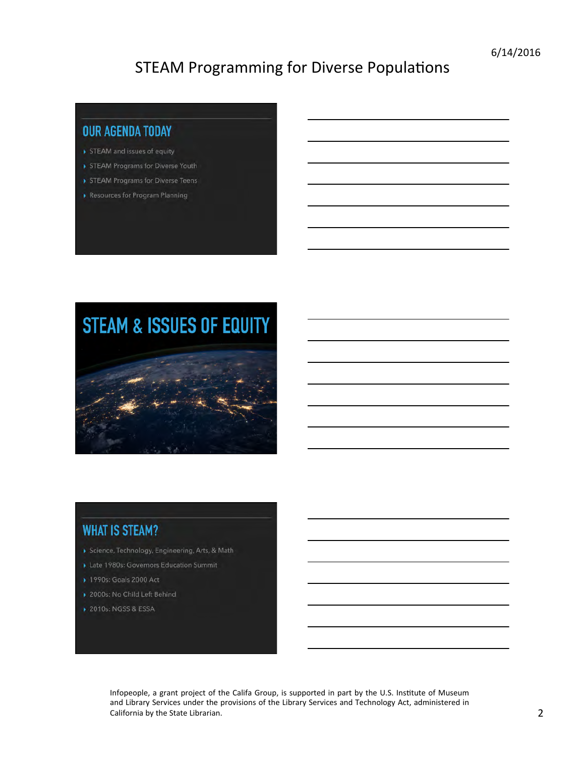#### **OUR AGENDA TODAY**

- STEAM and issues of equity
- STEAM Programs for Diverse Youth
- STEAM Programs for Diverse Teens
- Resources for Program Planning

# **STEAM & ISSUES OF EQUITY**



#### **WHAT IS STEAM?**

- Science, Technology, Engineering, Arts, & Math
- Late 1980s: Governors Education Summit
- ▶ 1990s: Goals 2000 Act
- 2000s: No Child Left Behind
- ▶ 2010s: NGSS & ESSA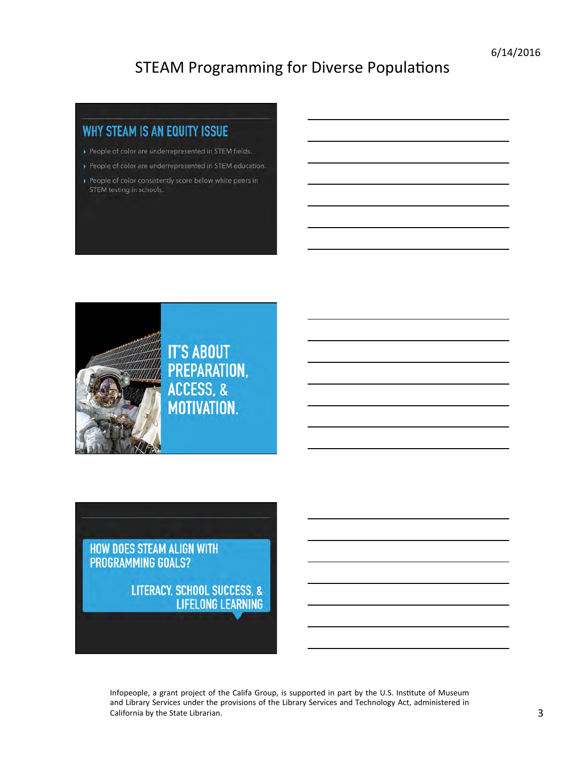#### **WHY STEAM IS AN EQUITY ISSUE**

- People of color are underrepresented in STEM fields.
- People of color are underrepresented in STEM education.
- People of color consistently score below white peers in STEM testing in schools.



HOW DOES STEAM ALIGN WITH **PROGRAMMING GOALS?** 

> **LITERACY, SCHOOL SUCCESS, & LIFELONG LEARNING**

Infopeople, a grant project of the Califa Group, is supported in part by the U.S. Institute of Museum and Library Services under the provisions of the Library Services and Technology Act, administered in California by the State Librarian. 2008 (2008) 2012 12:30 12:30 12:30 12:30 12:30 12:30 12:30 12:30 12:30 12:30 12:30 12:30 12:30 12:30 12:30 12:30 12:30 12:30 12:30 12:30 12:30 12:30 12:30 12:30 12:30 12:30 12:30 12:30 12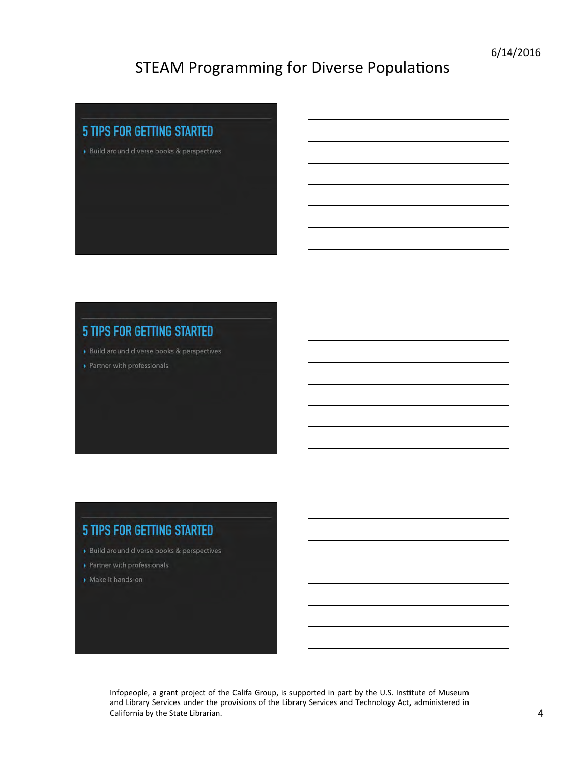

#### **5 TIPS FOR GETTING STARTED**

- Build around diverse books & perspectives
- Partner with professionals

#### **5 TIPS FOR GETTING STARTED**

- Build around diverse books & perspectives
- Partner with professionals
- Make it hands-on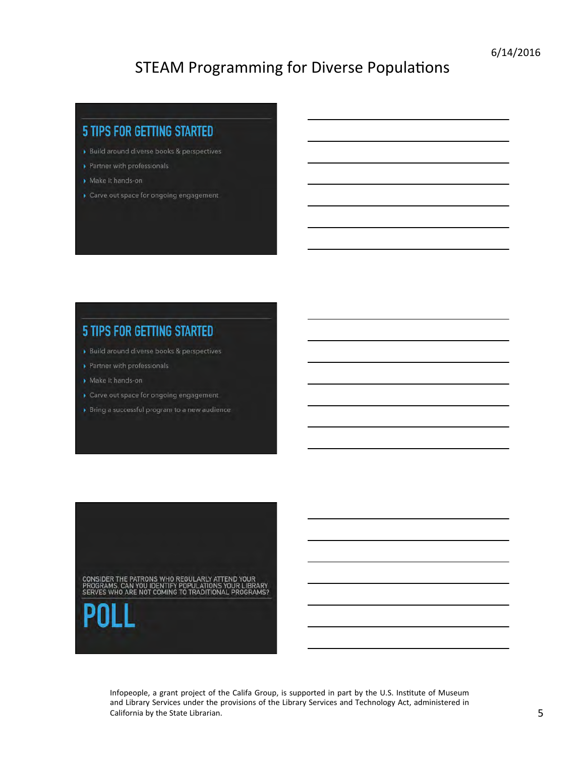#### **5 TIPS FOR GETTING STARTED**

- Build around diverse books & perspectives
- Partner with professionals
- Make it hands-on
- Carve out space for ongoing engagement

#### **5 TIPS FOR GETTING STARTED**

- Build around diverse books & perspectives
- Partner with professionals
- Make it hands-on
- Carve out space for ongoing engagement
- Bring a successful program to a new audience

CONSIDER THE PATRONS WHO REGULARLY ATTEND YOUR<br>PROGRAMS. CAN YOU IDENTIFY POPULATIONS YOUR LIBRARY<br>SERVES WHO ARE NOT COMING TO TRADITIONAL PROGRAMS?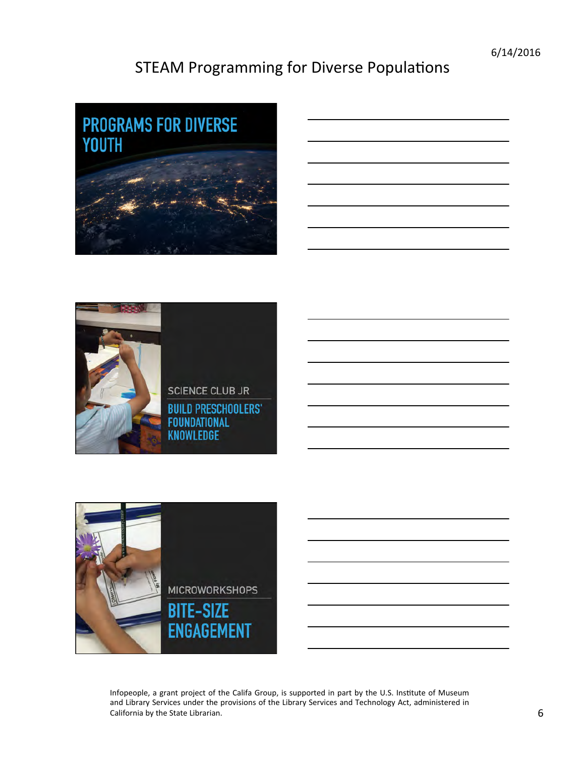





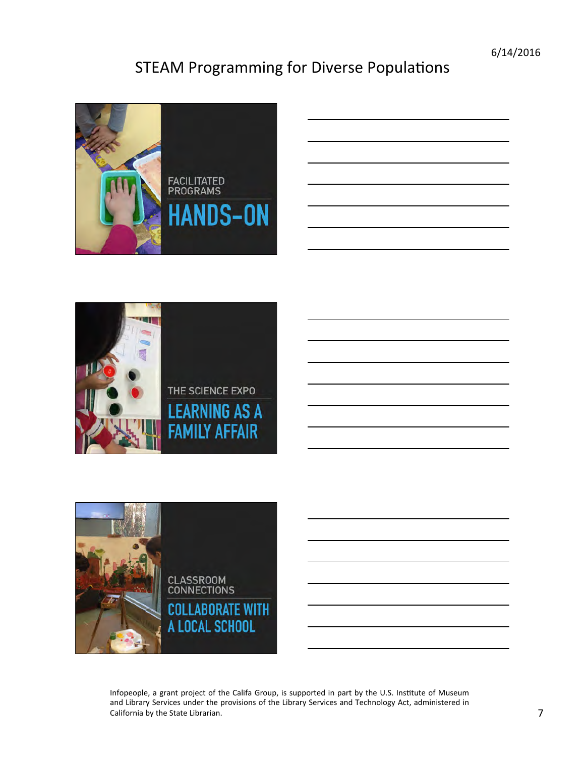





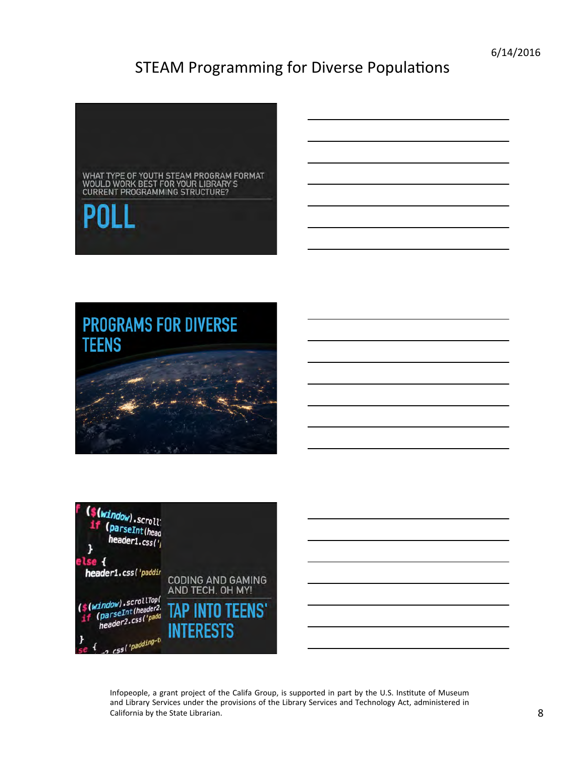

# **PROGRAMS FOR DIVERSE TEENS**





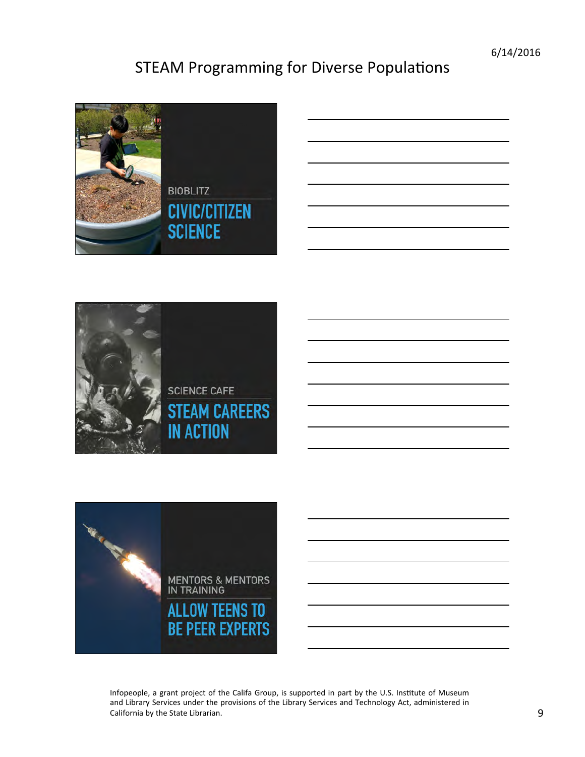

|  |  | <u> London Communication and the communication of the communication of the communication of the communication of the communication of the communication of the communication of the communication of the communication of the co</u> |
|--|--|--------------------------------------------------------------------------------------------------------------------------------------------------------------------------------------------------------------------------------------|
|  |  |                                                                                                                                                                                                                                      |
|  |  |                                                                                                                                                                                                                                      |
|  |  |                                                                                                                                                                                                                                      |
|  |  |                                                                                                                                                                                                                                      |
|  |  |                                                                                                                                                                                                                                      |



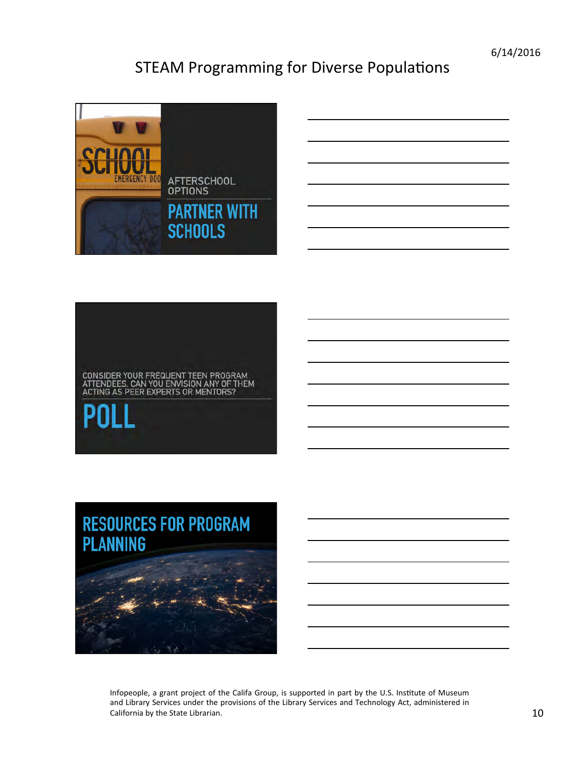6/14/2016 

# STEAM Programming for Diverse Populations



# CONSIDER YOUR FREQUENT TEEN PROGRAM<br>ATTENDEES. CAN YOU ENVISION ANY OF THEM<br>ACTING AS PEER EXPERTS OR MENTORS?

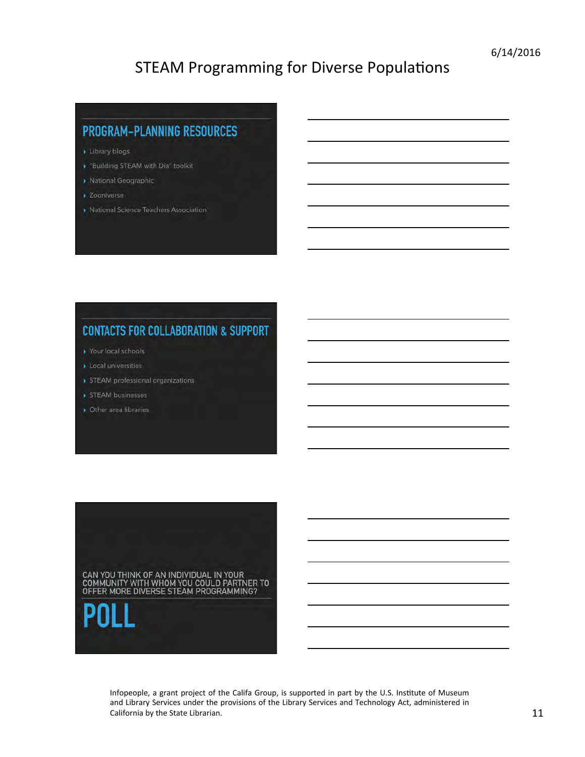#### **PROGRAM-PLANNING RESOURCES**

- Library blogs
- ▶ "Building STEAM with Día" toolkit
- National Geographic
- > Zooniverse
- National Science Teachers Association

#### **CONTACTS FOR COLLABORATION & SUPPORT**

- Your local schools
- Local universities
- STEAM professional organizations
- STEAM businesses
- Other area libraries